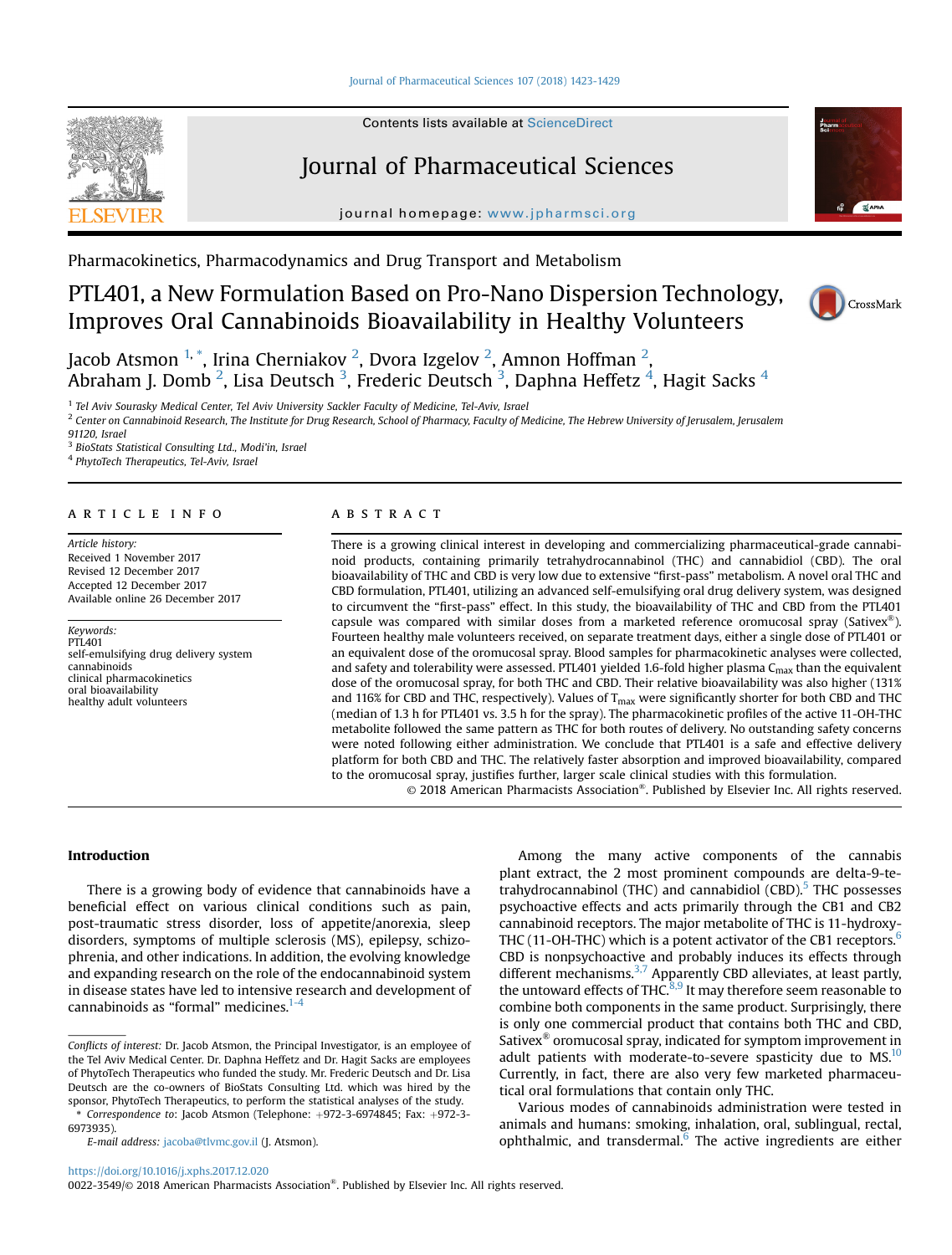<span id="page-0-0"></span>

Contents lists available at ScienceDirect

## Journal of Pharmaceutical Sciences

journal homepage: [www.jpharmsci.org](http://www.jpharmsci.org)



Pharmacokinetics, Pharmacodynamics and Drug Transport and Metabolism

# PTL401, a New Formulation Based on Pro-Nano Dispersion Technology, Improves Oral Cannabinoids Bioavailability in Healthy Volunteers



Jacob Atsmon  $^{1,\ast}$ , Irina Cherniakov  $^2$ , Dvora Izgelov  $^2$ , Amnon Hoffman  $^2$ , Abraham J. Domb  $^2$ , Lisa Deutsch  $^3$ , Frederic Deutsch  $^3$ , Daphna Heffetz  $^4$ , Hagit Sacks  $^4$ 

<sup>1</sup> Tel Aviv Sourasky Medical Center, Tel Aviv University Sackler Faculty of Medicine, Tel-Aviv, Israel <sup>2</sup> Center on Cannabinoid Research, The Institute for Drug Research, School of Pharmacy, Faculty of Medicine, The Hebrew University of Jerusalem, Jerusalem 91120, Israel

<sup>3</sup> BioStats Statistical Consulting Ltd., Modi'in, Israel

<sup>4</sup> PhytoTech Therapeutics, Tel-Aviv, Israel

#### article info

Article history: Received 1 November 2017 Revised 12 December 2017 Accepted 12 December 2017 Available online 26 December 2017

Keywords: PTL401 self-emulsifying drug delivery system cannabinoids clinical pharmacokinetics oral bioavailability healthy adult volunteers

#### ABSTRACT

There is a growing clinical interest in developing and commercializing pharmaceutical-grade cannabinoid products, containing primarily tetrahydrocannabinol (THC) and cannabidiol (CBD). The oral bioavailability of THC and CBD is very low due to extensive "first-pass" metabolism. A novel oral THC and CBD formulation, PTL401, utilizing an advanced self-emulsifying oral drug delivery system, was designed to circumvent the "first-pass" effect. In this study, the bioavailability of THC and CBD from the PTL401 capsule was compared with similar doses from a marketed reference oromucosal spray (Sativex<sup>®</sup>). Fourteen healthy male volunteers received, on separate treatment days, either a single dose of PTL401 or an equivalent dose of the oromucosal spray. Blood samples for pharmacokinetic analyses were collected, and safety and tolerability were assessed. PTL401 yielded 1.6-fold higher plasma  $C_{\text{max}}$  than the equivalent dose of the oromucosal spray, for both THC and CBD. Their relative bioavailability was also higher (131% and 116% for CBD and THC, respectively). Values of T<sub>max</sub> were significantly shorter for both CBD and THC (median of 1.3 h for PTL401 vs. 3.5 h for the spray). The pharmacokinetic profiles of the active 11-OH-THC metabolite followed the same pattern as THC for both routes of delivery. No outstanding safety concerns were noted following either administration. We conclude that PTL401 is a safe and effective delivery platform for both CBD and THC. The relatively faster absorption and improved bioavailability, compared to the oromucosal spray, justifies further, larger scale clinical studies with this formulation.

© 2018 American Pharmacists Association®. Published by Elsevier Inc. All rights reserved.

## Introduction

There is a growing body of evidence that cannabinoids have a beneficial effect on various clinical conditions such as pain, post-traumatic stress disorder, loss of appetite/anorexia, sleep disorders, symptoms of multiple sclerosis (MS), epilepsy, schizophrenia, and other indications. In addition, the evolving knowledge and expanding research on the role of the endocannabinoid system in disease states have led to intensive research and development of cannabinoids as "formal" medicines. $1-4$ 

E-mail address: [jacoba@tlvmc.gov.il](mailto:jacoba@tlvmc.gov.il) (J. Atsmon).

Among the many active components of the cannabis plant extract, the 2 most prominent compounds are delta-9-tetrahydrocannabinol (THC) and cannabidiol  $(CBD)$ <sup>[5](#page-5-0)</sup>. THC possesses psychoactive effects and acts primarily through the CB1 and CB2 cannabinoid receptors. The major metabolite of THC is 11-hydroxy-THC (11-OH-THC) which is a potent activator of the CB1 receptors.<sup>6</sup> CBD is nonpsychoactive and probably induces its effects through different mechanisms. $3,7$  Apparently CBD alleviates, at least partly, the untoward effects of THC. $8,9$  It may therefore seem reasonable to combine both components in the same product. Surprisingly, there is only one commercial product that contains both THC and CBD, Sativex® oromucosal spray, indicated for symptom improvement in adult patients with moderate-to-severe spasticity due to  $MS<sup>10</sup>$ Currently, in fact, there are also very few marketed pharmaceutical oral formulations that contain only THC.

Various modes of cannabinoids administration were tested in animals and humans: smoking, inhalation, oral, sublingual, rectal, ophthalmic, and transdermal. $6$  The active ingredients are either

Conflicts of interest: Dr. Jacob Atsmon, the Principal Investigator, is an employee of the Tel Aviv Medical Center. Dr. Daphna Heffetz and Dr. Hagit Sacks are employees of PhytoTech Therapeutics who funded the study. Mr. Frederic Deutsch and Dr. Lisa Deutsch are the co-owners of BioStats Consulting Ltd. which was hired by the sponsor, PhytoTech Therapeutics, to perform the statistical analyses of the study.

<sup>\*</sup> Correspondence to: Jacob Atsmon (Telephone:  $+972-3-6974845$ ; Fax:  $+972-3-$ 6973935).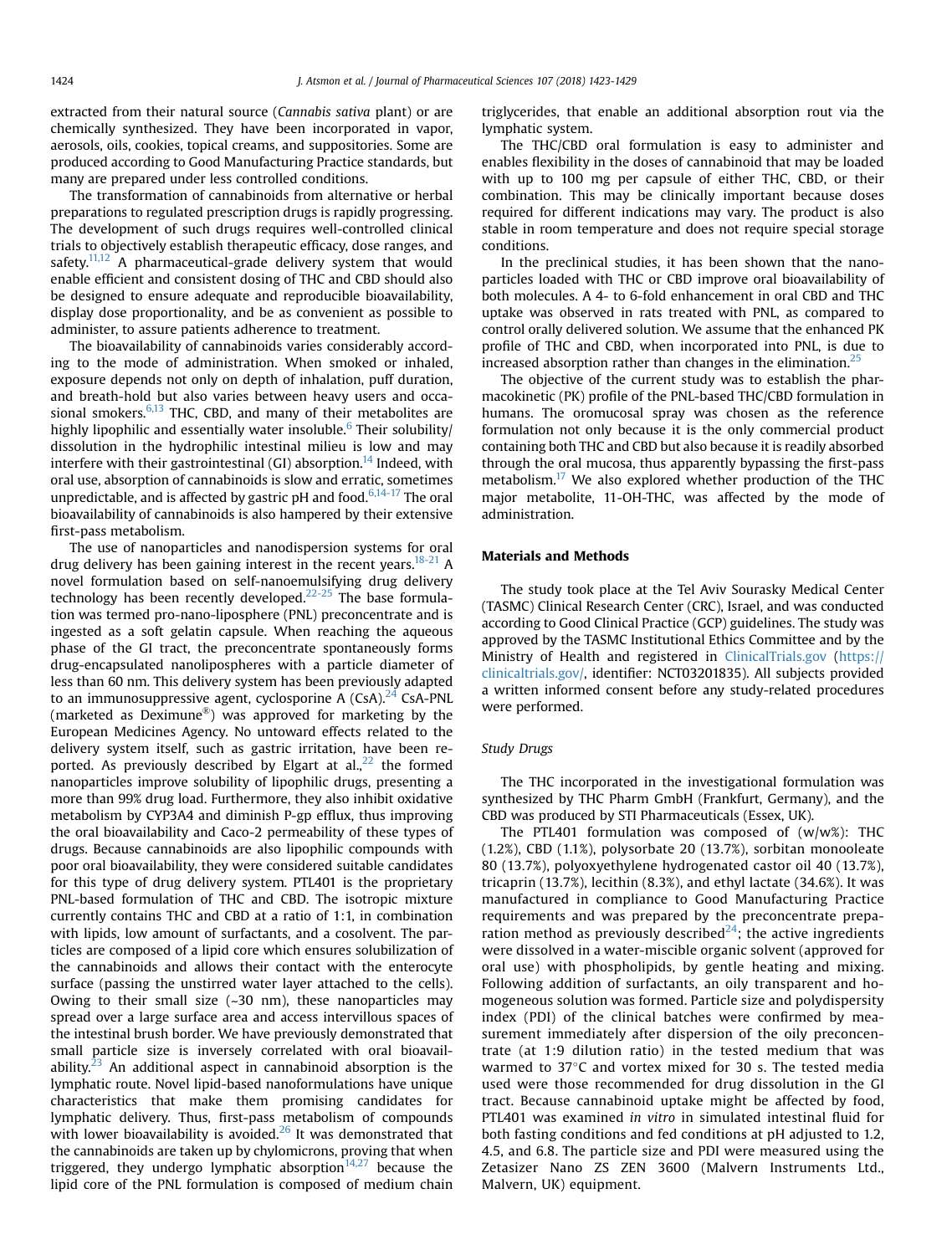extracted from their natural source (Cannabis sativa plant) or are chemically synthesized. They have been incorporated in vapor, aerosols, oils, cookies, topical creams, and suppositories. Some are produced according to Good Manufacturing Practice standards, but many are prepared under less controlled conditions.

The transformation of cannabinoids from alternative or herbal preparations to regulated prescription drugs is rapidly progressing. The development of such drugs requires well-controlled clinical trials to objectively establish therapeutic efficacy, dose ranges, and safety. $11,12$  A pharmaceutical-grade delivery system that would enable efficient and consistent dosing of THC and CBD should also be designed to ensure adequate and reproducible bioavailability, display dose proportionality, and be as convenient as possible to administer, to assure patients adherence to treatment.

The bioavailability of cannabinoids varies considerably according to the mode of administration. When smoked or inhaled, exposure depends not only on depth of inhalation, puff duration, and breath-hold but also varies between heavy users and occasional smokers. $6,13$  THC, CBD, and many of their metabolites are highly lipophilic and essentially water insoluble.<sup>[6](#page-5-0)</sup> Their solubility/ dissolution in the hydrophilic intestinal milieu is low and may interfere with their gastrointestinal  $(GI)$  absorption.<sup>14</sup> Indeed, with oral use, absorption of cannabinoids is slow and erratic, sometimes unpredictable, and is affected by gastric pH and food. $6,14-17$  The oral bioavailability of cannabinoids is also hampered by their extensive first-pass metabolism.

The use of nanoparticles and nanodispersion systems for oral drug delivery has been gaining interest in the recent years.<sup>[18-21](#page-5-0)</sup> A novel formulation based on self-nanoemulsifying drug delivery technology has been recently developed. $22-25$  The base formulation was termed pro-nano-liposphere (PNL) preconcentrate and is ingested as a soft gelatin capsule. When reaching the aqueous phase of the GI tract, the preconcentrate spontaneously forms drug-encapsulated nanolipospheres with a particle diameter of less than 60 nm. This delivery system has been previously adapted to an immunosuppressive agent, cyclosporine A  $(CsA)<sup>24</sup>$  $(CsA)<sup>24</sup>$  $(CsA)<sup>24</sup>$  CsA-PNL (marketed as Deximune<sup>®</sup>) was approved for marketing by the European Medicines Agency. No untoward effects related to the delivery system itself, such as gastric irritation, have been reported. As previously described by Elgart at al.,  $^{22}$  $^{22}$  $^{22}$  the formed nanoparticles improve solubility of lipophilic drugs, presenting a more than 99% drug load. Furthermore, they also inhibit oxidative metabolism by CYP3A4 and diminish P-gp efflux, thus improving the oral bioavailability and Caco-2 permeability of these types of drugs. Because cannabinoids are also lipophilic compounds with poor oral bioavailability, they were considered suitable candidates for this type of drug delivery system. PTL401 is the proprietary PNL-based formulation of THC and CBD. The isotropic mixture currently contains THC and CBD at a ratio of 1:1, in combination with lipids, low amount of surfactants, and a cosolvent. The particles are composed of a lipid core which ensures solubilization of the cannabinoids and allows their contact with the enterocyte surface (passing the unstirred water layer attached to the cells). Owing to their small size  $(-30 \text{ nm})$ , these nanoparticles may spread over a large surface area and access intervillous spaces of the intestinal brush border. We have previously demonstrated that small particle size is inversely correlated with oral bioavail-ability.<sup>[23](#page-5-0)</sup> An additional aspect in cannabinoid absorption is the lymphatic route. Novel lipid-based nanoformulations have unique characteristics that make them promising candidates for lymphatic delivery. Thus, first-pass metabolism of compounds with lower bioavailability is avoided. $^{26}$  It was demonstrated that the cannabinoids are taken up by chylomicrons, proving that when triggered, they undergo lymphatic absorption<sup>[14,27](#page-5-0)</sup> because the lipid core of the PNL formulation is composed of medium chain

triglycerides, that enable an additional absorption rout via the lymphatic system.

The THC/CBD oral formulation is easy to administer and enables flexibility in the doses of cannabinoid that may be loaded with up to 100 mg per capsule of either THC, CBD, or their combination. This may be clinically important because doses required for different indications may vary. The product is also stable in room temperature and does not require special storage conditions.

In the preclinical studies, it has been shown that the nanoparticles loaded with THC or CBD improve oral bioavailability of both molecules. A 4- to 6-fold enhancement in oral CBD and THC uptake was observed in rats treated with PNL, as compared to control orally delivered solution. We assume that the enhanced PK profile of THC and CBD, when incorporated into PNL, is due to increased absorption rather than changes in the elimination. $^{25}$ 

The objective of the current study was to establish the pharmacokinetic (PK) profile of the PNL-based THC/CBD formulation in humans. The oromucosal spray was chosen as the reference formulation not only because it is the only commercial product containing both THC and CBD but also because it is readily absorbed through the oral mucosa, thus apparently bypassing the first-pass metabolism.<sup>17</sup> We also explored whether production of the THC major metabolite, 11-OH-THC, was affected by the mode of administration.

#### Materials and Methods

The study took place at the Tel Aviv Sourasky Medical Center (TASMC) Clinical Research Center (CRC), Israel, and was conducted according to Good Clinical Practice (GCP) guidelines. The study was approved by the TASMC Institutional Ethics Committee and by the Ministry of Health and registered in [ClinicalTrials.gov](http://ClinicalTrials.gov) ([https://](https://clinicaltrials.gov/) [clinicaltrials.gov/](https://clinicaltrials.gov/), identifier: NCT03201835). All subjects provided a written informed consent before any study-related procedures were performed.

#### Study Drugs

The THC incorporated in the investigational formulation was synthesized by THC Pharm GmbH (Frankfurt, Germany), and the CBD was produced by STI Pharmaceuticals (Essex, UK).

The PTL401 formulation was composed of (w/w%): THC (1.2%), CBD (1.1%), polysorbate 20 (13.7%), sorbitan monooleate 80 (13.7%), polyoxyethylene hydrogenated castor oil 40 (13.7%), tricaprin (13.7%), lecithin (8.3%), and ethyl lactate (34.6%). It was manufactured in compliance to Good Manufacturing Practice requirements and was prepared by the preconcentrate prepa-ration method as previously described<sup>[24](#page-5-0)</sup>; the active ingredients were dissolved in a water-miscible organic solvent (approved for oral use) with phospholipids, by gentle heating and mixing. Following addition of surfactants, an oily transparent and homogeneous solution was formed. Particle size and polydispersity index (PDI) of the clinical batches were confirmed by measurement immediately after dispersion of the oily preconcentrate (at 1:9 dilution ratio) in the tested medium that was warmed to 37 $\mathrm{^{\circ}C}$  and vortex mixed for 30 s. The tested media used were those recommended for drug dissolution in the GI tract. Because cannabinoid uptake might be affected by food, PTL401 was examined in vitro in simulated intestinal fluid for both fasting conditions and fed conditions at pH adjusted to 1.2, 4.5, and 6.8. The particle size and PDI were measured using the Zetasizer Nano ZS ZEN 3600 (Malvern Instruments Ltd., Malvern, UK) equipment.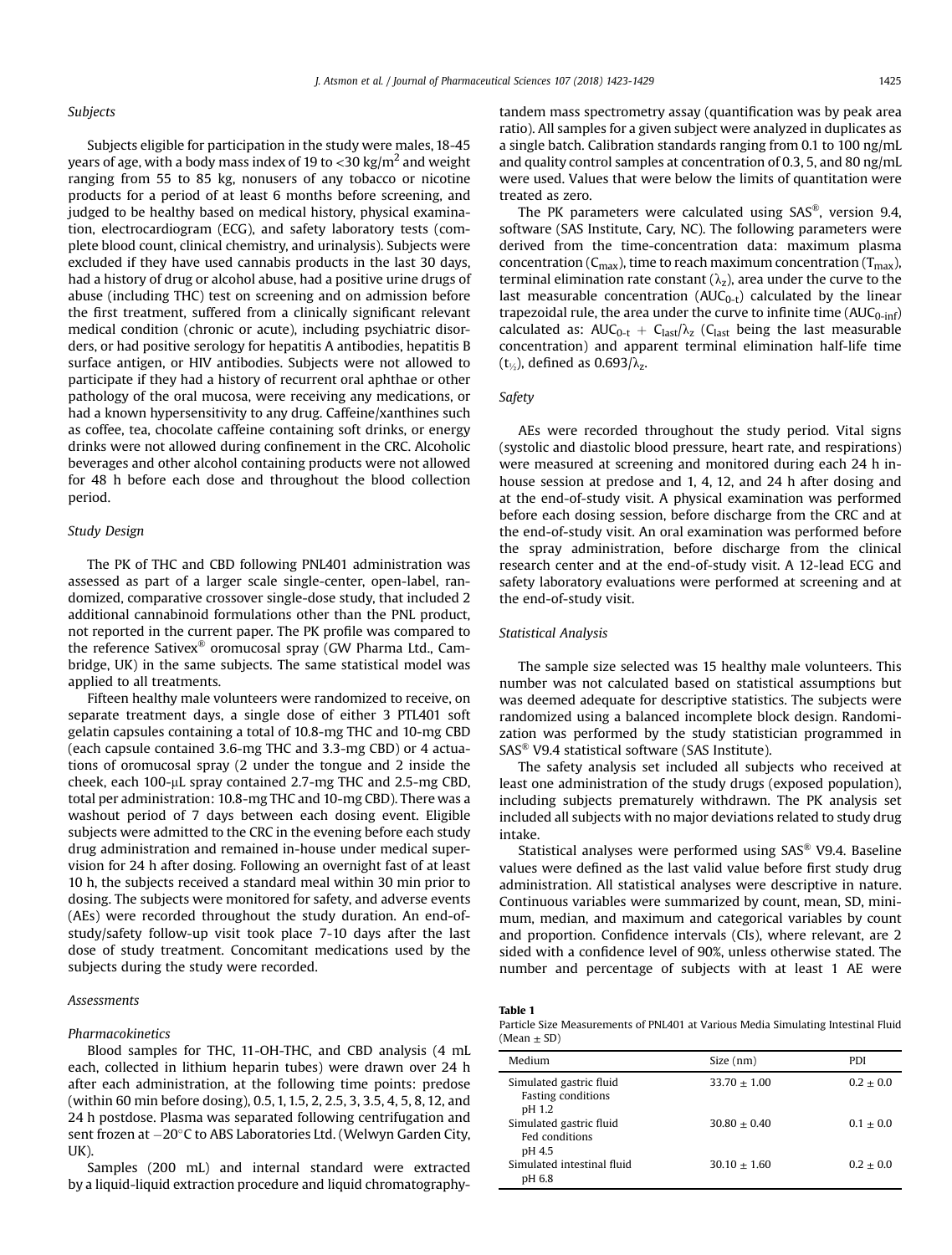### <span id="page-2-0"></span>Subjects

Subjects eligible for participation in the study were males, 18-45 years of age, with a body mass index of 19 to  $<$ 30 kg/m<sup>2</sup> and weight ranging from 55 to 85 kg, nonusers of any tobacco or nicotine products for a period of at least 6 months before screening, and judged to be healthy based on medical history, physical examination, electrocardiogram (ECG), and safety laboratory tests (complete blood count, clinical chemistry, and urinalysis). Subjects were excluded if they have used cannabis products in the last 30 days, had a history of drug or alcohol abuse, had a positive urine drugs of abuse (including THC) test on screening and on admission before the first treatment, suffered from a clinically significant relevant medical condition (chronic or acute), including psychiatric disorders, or had positive serology for hepatitis A antibodies, hepatitis B surface antigen, or HIV antibodies. Subjects were not allowed to participate if they had a history of recurrent oral aphthae or other pathology of the oral mucosa, were receiving any medications, or had a known hypersensitivity to any drug. Caffeine/xanthines such as coffee, tea, chocolate caffeine containing soft drinks, or energy drinks were not allowed during confinement in the CRC. Alcoholic beverages and other alcohol containing products were not allowed for 48 h before each dose and throughout the blood collection period.

## Study Design

The PK of THC and CBD following PNL401 administration was assessed as part of a larger scale single-center, open-label, randomized, comparative crossover single-dose study, that included 2 additional cannabinoid formulations other than the PNL product, not reported in the current paper. The PK profile was compared to the reference Sativex® oromucosal spray (GW Pharma Ltd., Cambridge, UK) in the same subjects. The same statistical model was applied to all treatments.

Fifteen healthy male volunteers were randomized to receive, on separate treatment days, a single dose of either 3 PTL401 soft gelatin capsules containing a total of 10.8-mg THC and 10-mg CBD (each capsule contained 3.6-mg THC and 3.3-mg CBD) or 4 actuations of oromucosal spray (2 under the tongue and 2 inside the cheek, each 100-µL spray contained 2.7-mg THC and 2.5-mg CBD, total per administration: 10.8-mg THC and 10-mg CBD). There was a washout period of 7 days between each dosing event. Eligible subjects were admitted to the CRC in the evening before each study drug administration and remained in-house under medical supervision for 24 h after dosing. Following an overnight fast of at least 10 h, the subjects received a standard meal within 30 min prior to dosing. The subjects were monitored for safety, and adverse events (AEs) were recorded throughout the study duration. An end-ofstudy/safety follow-up visit took place 7-10 days after the last dose of study treatment. Concomitant medications used by the subjects during the study were recorded.

## Assessments

#### Pharmacokinetics

Blood samples for THC, 11-OH-THC, and CBD analysis (4 mL each, collected in lithium heparin tubes) were drawn over 24 h after each administration, at the following time points: predose (within 60 min before dosing), 0.5, 1, 1.5, 2, 2.5, 3, 3.5, 4, 5, 8, 12, and 24 h postdose. Plasma was separated following centrifugation and sent frozen at  $-20^{\circ}$ C to ABS Laboratories Ltd. (Welwyn Garden City, UK).

Samples (200 mL) and internal standard were extracted by a liquid-liquid extraction procedure and liquid chromatographytandem mass spectrometry assay (quantification was by peak area ratio). All samples for a given subject were analyzed in duplicates as a single batch. Calibration standards ranging from 0.1 to 100 ng/mL and quality control samples at concentration of 0.3, 5, and 80 ng/mL were used. Values that were below the limits of quantitation were treated as zero.

The PK parameters were calculated using  $SAS^{\mathcal{B}}$ , version 9.4, software (SAS Institute, Cary, NC). The following parameters were derived from the time-concentration data: maximum plasma concentration ( $C_{\text{max}}$ ), time to reach maximum concentration ( $T_{\text{max}}$ ), terminal elimination rate constant  $(\lambda_z)$ , area under the curve to the last measurable concentration ( $AUC_{0-t}$ ) calculated by the linear trapezoidal rule, the area under the curve to infinite time  $(AUC_{0\text{-inf}})$ calculated as:  $AUC_{0-t} + C_{last}/\lambda_z$  (C<sub>last</sub> being the last measurable concentration) and apparent terminal elimination half-life time  $(t_{\frac{1}{2}})$ , defined as 0.693/ $\lambda$ <sub>z</sub>.

#### Safety

AEs were recorded throughout the study period. Vital signs (systolic and diastolic blood pressure, heart rate, and respirations) were measured at screening and monitored during each 24 h inhouse session at predose and 1, 4, 12, and 24 h after dosing and at the end-of-study visit. A physical examination was performed before each dosing session, before discharge from the CRC and at the end-of-study visit. An oral examination was performed before the spray administration, before discharge from the clinical research center and at the end-of-study visit. A 12-lead ECG and safety laboratory evaluations were performed at screening and at the end-of-study visit.

#### Statistical Analysis

The sample size selected was 15 healthy male volunteers. This number was not calculated based on statistical assumptions but was deemed adequate for descriptive statistics. The subjects were randomized using a balanced incomplete block design. Randomization was performed by the study statistician programmed in SAS® V9.4 statistical software (SAS Institute).

The safety analysis set included all subjects who received at least one administration of the study drugs (exposed population), including subjects prematurely withdrawn. The PK analysis set included all subjects with no major deviations related to study drug intake.

Statistical analyses were performed using SAS® V9.4. Baseline values were defined as the last valid value before first study drug administration. All statistical analyses were descriptive in nature. Continuous variables were summarized by count, mean, SD, minimum, median, and maximum and categorical variables by count and proportion. Confidence intervals (CIs), where relevant, are 2 sided with a confidence level of 90%, unless otherwise stated. The number and percentage of subjects with at least 1 AE were

### Table 1

Particle Size Measurements of PNL401 at Various Media Simulating Intestinal Fluid  $(Mean \pm SD)$ 

| Medium                                                         | Size (nm)      | PDI         |
|----------------------------------------------------------------|----------------|-------------|
| Simulated gastric fluid<br><b>Fasting conditions</b><br>pH 1.2 | $33.70 + 1.00$ | $0.2 + 0.0$ |
| Simulated gastric fluid<br>Fed conditions<br>pH 4.5            | $30.80 + 0.40$ | $0.1 + 0.0$ |
| Simulated intestinal fluid<br>pH 6.8                           | $30.10 + 1.60$ | $0.2 + 0.0$ |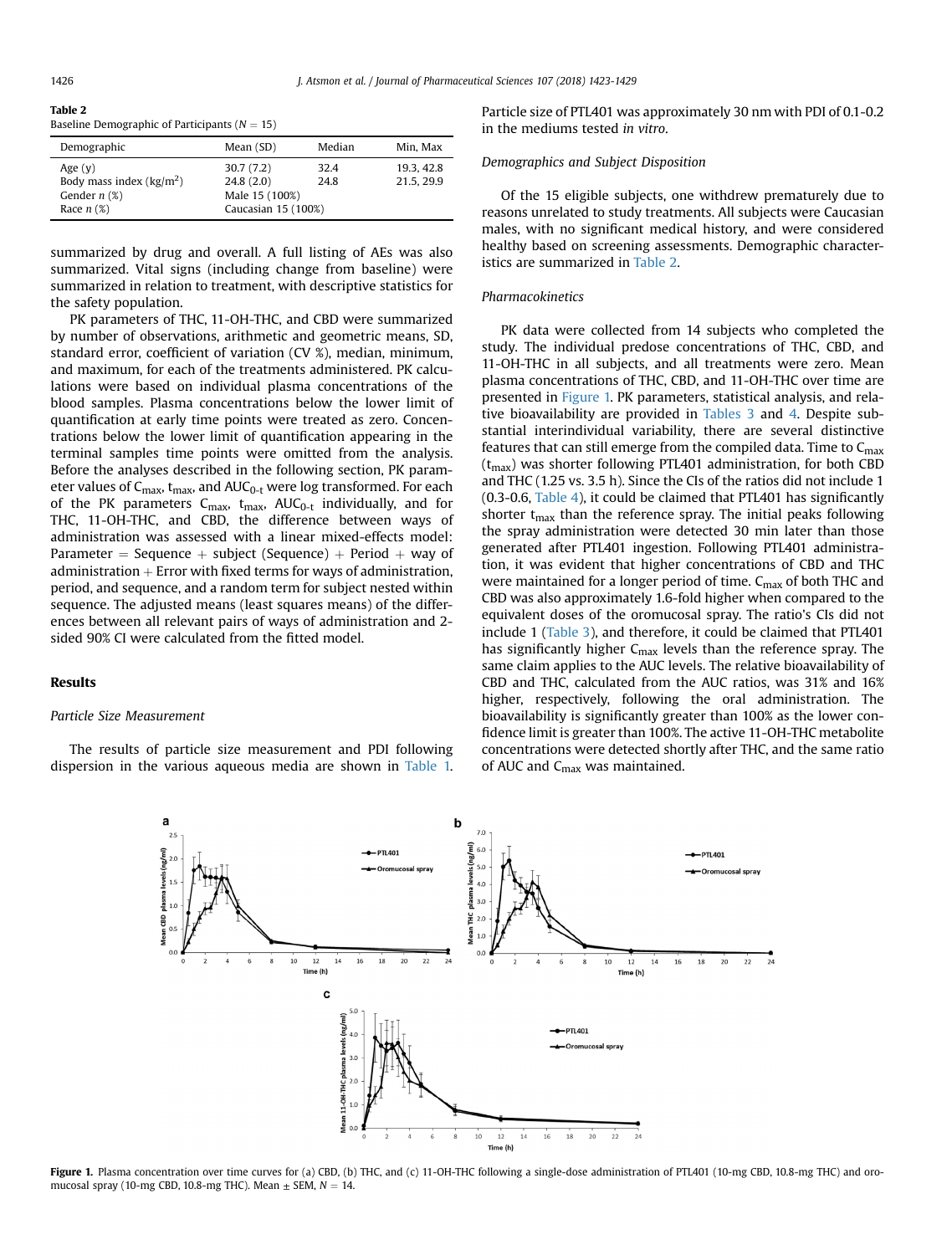Table 2 Baseline Demographic of Participants  $(N - 15)$ 

| $P$ pasemed being a point of Functional $(1 - 15)$ |                     |        |            |  |
|----------------------------------------------------|---------------------|--------|------------|--|
| Demographic                                        | Mean (SD)           | Median | Min, Max   |  |
| Age $(v)$                                          | 30.7(7.2)           | 32.4   | 19.3.42.8  |  |
| Body mass index $(kg/m2)$                          | 24.8(2.0)           | 24.8   | 21.5, 29.9 |  |
| Gender $n$ $(\%)$                                  | Male 15 (100%)      |        |            |  |
| Race $n$ (%)                                       | Caucasian 15 (100%) |        |            |  |

summarized by drug and overall. A full listing of AEs was also summarized. Vital signs (including change from baseline) were summarized in relation to treatment, with descriptive statistics for the safety population.

PK parameters of THC, 11-OH-THC, and CBD were summarized by number of observations, arithmetic and geometric means, SD, standard error, coefficient of variation (CV %), median, minimum, and maximum, for each of the treatments administered. PK calculations were based on individual plasma concentrations of the blood samples. Plasma concentrations below the lower limit of quantification at early time points were treated as zero. Concentrations below the lower limit of quantification appearing in the terminal samples time points were omitted from the analysis. Before the analyses described in the following section, PK parameter values of  $C_{\text{max}}$ , t<sub>max</sub>, and  $AUC_{0-t}$  were log transformed. For each of the PK parameters  $C_{\text{max}}$ ,  $t_{\text{max}}$ ,  $AUC_{0-t}$  individually, and for THC, 11-OH-THC, and CBD, the difference between ways of administration was assessed with a linear mixed-effects model: Parameter = Sequence + subject (Sequence) + Period + way of administration  $+$  Error with fixed terms for ways of administration, period, and sequence, and a random term for subject nested within sequence. The adjusted means (least squares means) of the differences between all relevant pairs of ways of administration and 2 sided 90% CI were calculated from the fitted model.

## Results

## Particle Size Measurement

The results of particle size measurement and PDI following dispersion in the various aqueous media are shown in [Table 1.](#page-2-0) Particle size of PTL401 was approximately 30 nm with PDI of 0.1-0.2 in the mediums tested in vitro.

#### Demographics and Subject Disposition

Of the 15 eligible subjects, one withdrew prematurely due to reasons unrelated to study treatments. All subjects were Caucasian males, with no significant medical history, and were considered healthy based on screening assessments. Demographic characteristics are summarized in Table 2.

## Pharmacokinetics

PK data were collected from 14 subjects who completed the study. The individual predose concentrations of THC, CBD, and 11-OH-THC in all subjects, and all treatments were zero. Mean plasma concentrations of THC, CBD, and 11-OH-THC over time are presented in Figure 1. PK parameters, statistical analysis, and relative bioavailability are provided in [Tables 3](#page-4-0) and [4](#page-4-0). Despite substantial interindividual variability, there are several distinctive features that can still emerge from the compiled data. Time to  $C<sub>max</sub>$  $(t_{\text{max}})$  was shorter following PTL401 administration, for both CBD and THC (1.25 vs. 3.5 h). Since the CIs of the ratios did not include 1 (0.3-0.6, [Table 4](#page-4-0)), it could be claimed that PTL401 has significantly shorter  $t_{max}$  than the reference spray. The initial peaks following the spray administration were detected 30 min later than those generated after PTL401 ingestion. Following PTL401 administration, it was evident that higher concentrations of CBD and THC were maintained for a longer period of time. C<sub>max</sub> of both THC and CBD was also approximately 1.6-fold higher when compared to the equivalent doses of the oromucosal spray. The ratio's CIs did not include 1 [\(Table 3](#page-4-0)), and therefore, it could be claimed that PTL401 has significantly higher  $C_{\text{max}}$  levels than the reference spray. The same claim applies to the AUC levels. The relative bioavailability of CBD and THC, calculated from the AUC ratios, was 31% and 16% higher, respectively, following the oral administration. The bioavailability is significantly greater than 100% as the lower confidence limit is greater than 100%. The active 11-OH-THC metabolite concentrations were detected shortly after THC, and the same ratio of AUC and  $C_{\text{max}}$  was maintained.



Figure 1. Plasma concentration over time curves for (a) CBD, (b) THC, and (c) 11-OH-THC following a single-dose administration of PTL401 (10-mg CBD, 10.8-mg THC) and oromucosal spray (10-mg CBD, 10.8-mg THC). Mean  $\pm$  SEM,  $N = 14$ .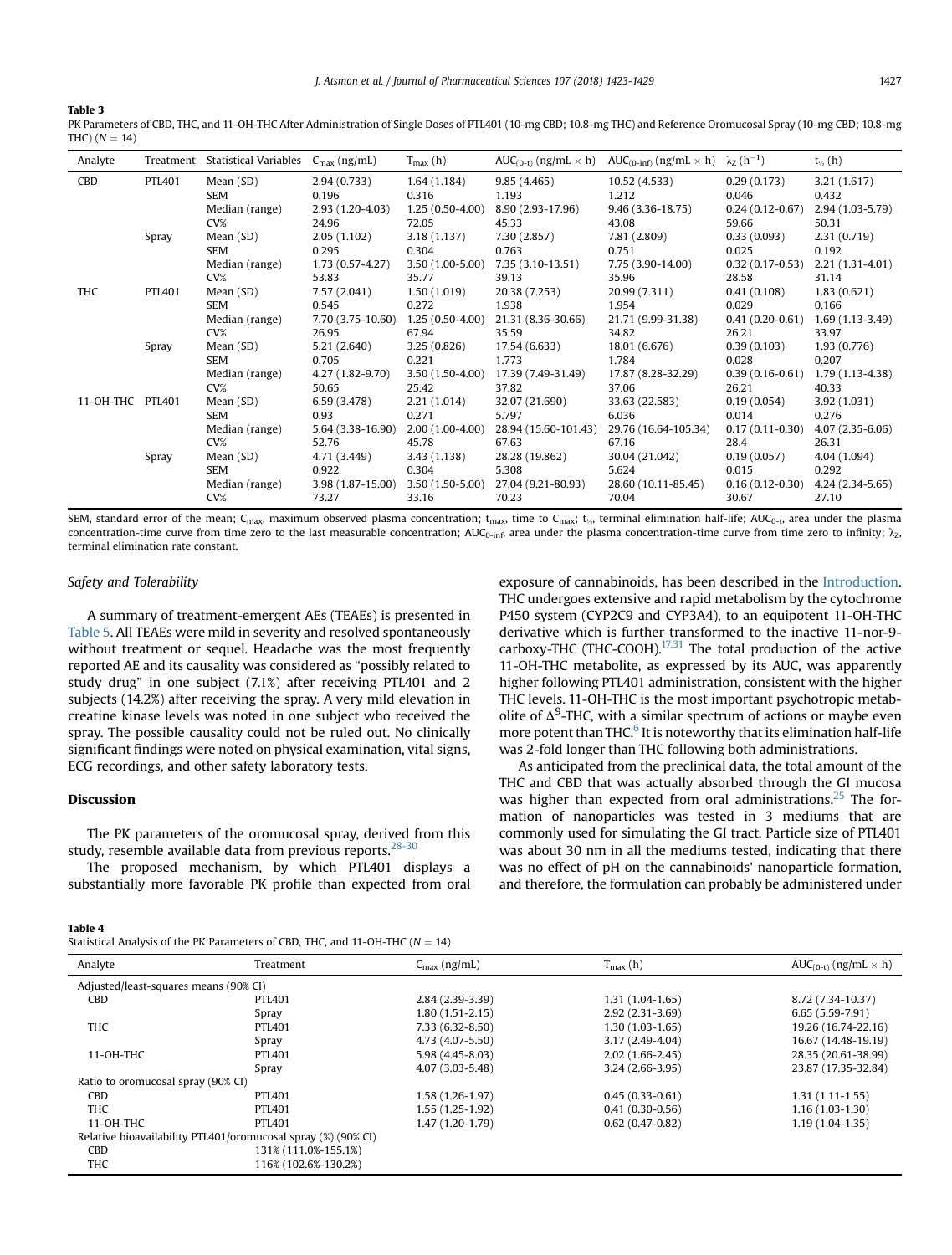<span id="page-4-0"></span>Table 3

PK Parameters of CBD, THC, and 11-OH-THC After Administration of Single Doses of PTL401 (10-mg CBD; 10.8-mg THC) and Reference Oromucosal Spray (10-mg CBD; 10.8-mg THC)  $(N = 14)$ 

| Analyte          |        | Treatment Statistical Variables C <sub>max</sub> (ng/mL) |                                      | $T_{\text{max}}(h)$ |                                                       | $AUC_{(0-t)}$ (ng/mL $\times$ h) $AUC_{(0-int)}$ (ng/mL $\times$ h) $\lambda_Z$ (h <sup>-1</sup> ) |                                    | $t_{\frac{1}{2}}(h)$ |
|------------------|--------|----------------------------------------------------------|--------------------------------------|---------------------|-------------------------------------------------------|----------------------------------------------------------------------------------------------------|------------------------------------|----------------------|
| CBD              | PTL401 | Mean (SD)                                                | 2.94(0.733)                          | 1.64 (1.184)        | 9.85(4.465)                                           | 10.52 (4.533)                                                                                      | 0.29(0.173)                        | 3.21(1.617)          |
|                  |        | SEM                                                      | 0.196                                | 0.316               | 1.193                                                 | 1.212                                                                                              | 0.046                              | 0.432                |
|                  |        | Median (range)                                           | 2.93 (1.20-4.03)                     |                     | $1.25(0.50-4.00)$ 8.90 (2.93-17.96)                   | 9.46 (3.36-18.75)                                                                                  | $0.24(0.12 - 0.67)$                | $2.94(1.03 - 5.79)$  |
|                  |        | CV <sub>8</sub>                                          | 24.96                                | 72.05               | 45.33                                                 | 43.08                                                                                              | 59.66                              | 50.31                |
|                  | Spray  | Mean (SD)                                                | 2.05(1.102)                          | 3.18 (1.137)        | 7.30 (2.857)                                          | 7.81 (2.809)                                                                                       | 0.33(0.093)                        | 2.31(0.719)          |
|                  |        | <b>SEM</b>                                               | 0.295                                | 0.304               | 0.763                                                 | 0.751                                                                                              | 0.025                              | 0.192                |
|                  |        | Median (range)                                           | $1.73(0.57-4.27)$                    |                     | $3.50(1.00-5.00)$ $7.35(3.10-13.51)$                  | 7.75 (3.90-14.00)                                                                                  | $0.32(0.17-0.53)$                  | 2.21 (1.31-4.01)     |
|                  |        | CV <sub>8</sub>                                          | 53.83                                | 35.77               | 39.13                                                 | 35.96                                                                                              | 28.58                              | 31.14                |
| THC              | PTL401 | Mean (SD)                                                | 7.57(2.041)                          | 1.50(1.019)         | 20.38 (7.253)                                         | 20.99 (7.311)                                                                                      | 0.41(0.108)                        | 1.83(0.621)          |
|                  |        | SEM                                                      | 0.545                                | 0.272               | 1.938                                                 | 1.954                                                                                              | 0.029                              | 0.166                |
|                  |        | Median (range)                                           |                                      |                     | 7.70 (3.75-10.60) 1.25 (0.50-4.00) 21.31 (8.36-30.66) | 21.71 (9.99-31.38)                                                                                 | $0.41(0.20-0.61)$ 1.69 (1.13-3.49) |                      |
|                  |        | CV <sub>8</sub>                                          | 26.95                                | 67.94               | 35.59                                                 | 34.82                                                                                              | 26.21                              | 33.97                |
|                  | Spray  | Mean (SD)                                                | 5.21 (2.640)                         | 3.25 (0.826)        | 17.54 (6.633)                                         | 18.01 (6.676)                                                                                      | 0.39(0.103)                        | 1.93(0.776)          |
|                  |        | <b>SEM</b>                                               | 0.705                                | 0.221               | 1.773                                                 | 1.784                                                                                              | 0.028                              | 0.207                |
|                  |        | Median (range)                                           | 4.27 (1.82-9.70)                     |                     | 3.50 (1.50-4.00) 17.39 (7.49-31.49)                   | 17.87 (8.28-32.29)                                                                                 | $0.39(0.16-0.61)$                  | 1.79 (1.13-4.38)     |
|                  |        | CV <sub>8</sub>                                          | 50.65                                | 25.42               | 37.82                                                 | 37.06                                                                                              | 26.21                              | 40.33                |
| 11-OH-THC PTL401 |        | Mean (SD)                                                | 6.59(3.478)                          | 2.21 (1.014)        | 32.07 (21.690)                                        | 33.63 (22.583)                                                                                     | 0.19(0.054)                        | 3.92(1.031)          |
|                  |        | SEM                                                      | 0.93                                 | 0.271               | 5.797                                                 | 6.036                                                                                              | 0.014                              | 0.276                |
|                  |        | Median (range)                                           | $5.64(3.38-16.90)$ $2.00(1.00-4.00)$ |                     | 28.94 (15.60-101.43)                                  | 29.76 (16.64-105.34)                                                                               | $0.17(0.11-0.30)$                  | $4.07(2.35-6.06)$    |
|                  |        | CV <sub>8</sub>                                          | 52.76                                | 45.78               | 67.63                                                 | 67.16                                                                                              | 28.4                               | 26.31                |
|                  | Spray  | Mean (SD)                                                | 4.71 (3.449)                         | 3.43 (1.138)        | 28.28 (19.862)                                        | 30.04 (21.042)                                                                                     | 0.19(0.057)                        | 4.04 (1.094)         |
|                  |        | <b>SEM</b>                                               | 0.922                                | 0.304               | 5.308                                                 | 5.624                                                                                              | 0.015                              | 0.292                |
|                  |        | Median (range)                                           | $3.98(1.87-15.00)$ $3.50(1.50-5.00)$ |                     | 27.04 (9.21-80.93)                                    | 28.60 (10.11-85.45)                                                                                | $0.16(0.12-0.30)$                  | 4.24 (2.34-5.65)     |
|                  |        | CV <sub>8</sub>                                          | 73.27                                | 33.16               | 70.23                                                 | 70.04                                                                                              | 30.67                              | 27.10                |

SEM, standard error of the mean; C<sub>max</sub>, maximum observed plasma concentration; t<sub>max</sub>, time to C<sub>max</sub>; t<sub>/n</sub> terminal elimination half-life; AUC<sub>0-t</sub>, area under the plasma concentration-time curve from time zero to the last measurable concentration;  $AUC_{0-int}$ , area under the plasma concentration-time curve from time zero to infinity;  $\lambda_{Z}$ , terminal elimination rate constant.

## Safety and Tolerability

A summary of treatment-emergent AEs (TEAEs) is presented in [Table 5.](#page-5-0) All TEAEs were mild in severity and resolved spontaneously without treatment or sequel. Headache was the most frequently reported AE and its causality was considered as "possibly related to study drug" in one subject (7.1%) after receiving PTL401 and 2 subjects (14.2%) after receiving the spray. A very mild elevation in creatine kinase levels was noted in one subject who received the spray. The possible causality could not be ruled out. No clinically significant findings were noted on physical examination, vital signs, ECG recordings, and other safety laboratory tests.

## Discussion

The PK parameters of the oromucosal spray, derived from this study, resemble available data from previous reports. $28-30$ 

The proposed mechanism, by which PTL401 displays a substantially more favorable PK profile than expected from oral exposure of cannabinoids, has been described in the [Introduction.](#page-0-0) THC undergoes extensive and rapid metabolism by the cytochrome P450 system (CYP2C9 and CYP3A4), to an equipotent 11-OH-THC derivative which is further transformed to the inactive 11-nor-9 carboxy-THC (THC-COOH). $17,31$  The total production of the active 11-OH-THC metabolite, as expressed by its AUC, was apparently higher following PTL401 administration, consistent with the higher THC levels. 11-OH-THC is the most important psychotropic metabolite of  $\Delta^9$ -THC, with a similar spectrum of actions or maybe even more potent than THC. $6$  It is noteworthy that its elimination half-life was 2-fold longer than THC following both administrations.

As anticipated from the preclinical data, the total amount of the THC and CBD that was actually absorbed through the GI mucosa was higher than expected from oral administrations.<sup>[25](#page-5-0)</sup> The formation of nanoparticles was tested in 3 mediums that are commonly used for simulating the GI tract. Particle size of PTL401 was about 30 nm in all the mediums tested, indicating that there was no effect of pH on the cannabinoids' nanoparticle formation, and therefore, the formulation can probably be administered under

#### Table 4

Statistical Analysis of the PK Parameters of CBD, THC, and  $11-OH_THC (N - 14)$ 

| Analyte                               | Treatment                                                     | $C_{\text{max}}$ (ng/mL) | $T_{\text{max}}(h)$ | $AUC(0-t)$ (ng/mL $\times$ h) |
|---------------------------------------|---------------------------------------------------------------|--------------------------|---------------------|-------------------------------|
| Adjusted/least-squares means (90% CI) |                                                               |                          |                     |                               |
| <b>CBD</b>                            | PTL401                                                        | 2.84 (2.39-3.39)         | $1.31(1.04-1.65)$   | 8.72 (7.34-10.37)             |
|                                       | Spray                                                         | $1.80(1.51 - 2.15)$      | $2.92(2.31-3.69)$   | $6.65(5.59-7.91)$             |
| <b>THC</b>                            | PTL401                                                        | $7.33(6.32 - 8.50)$      | $1.30(1.03-1.65)$   | 19.26 (16.74-22.16)           |
|                                       | Spray                                                         | 4.73 (4.07-5.50)         | $3.17(2.49-4.04)$   | 16.67 (14.48-19.19)           |
| 11-OH-THC                             | PTL401                                                        | $5.98(4.45-8.03)$        | $2.02(1.66-2.45)$   | 28.35 (20.61-38.99)           |
|                                       | Spray                                                         | 4.07 (3.03-5.48)         | $3.24(2.66-3.95)$   | 23.87 (17.35-32.84)           |
| Ratio to oromucosal spray (90% CI)    |                                                               |                          |                     |                               |
| <b>CBD</b>                            | PTI 401                                                       | $1.58(1.26-1.97)$        | $0.45(0.33 - 0.61)$ | $1.31(1.11-1.55)$             |
| THC                                   | PTL401                                                        | $1.55(1.25-1.92)$        | $0.41(0.30-0.56)$   | $1.16(1.03-1.30)$             |
| 11-OH-THC                             | PTI 401                                                       | $1.47(1.20-1.79)$        | $0.62(0.47-0.82)$   | $1.19(1.04-1.35)$             |
|                                       | Relative bioavailability PTL401/oromucosal spray (%) (90% CI) |                          |                     |                               |
| <b>CBD</b>                            | 131% (111.0%-155.1%)                                          |                          |                     |                               |
| THC                                   | 116% (102.6%-130.2%)                                          |                          |                     |                               |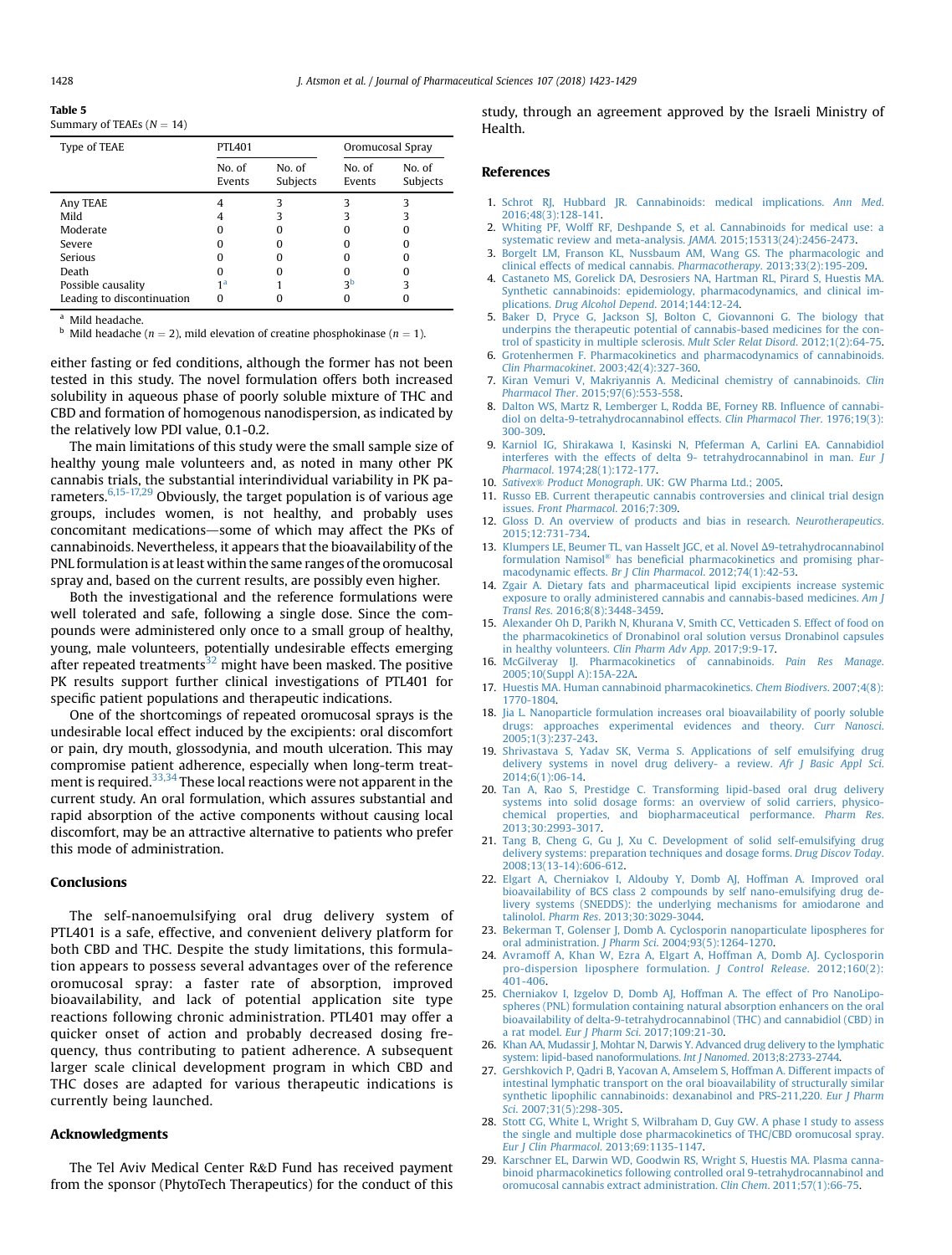<span id="page-5-0"></span>

| таріс э                       |  |
|-------------------------------|--|
| Summary of TEAEs ( $N = 14$ ) |  |

| Type of TEAE               | PTL401           |                    | Oromucosal Spray |                    |
|----------------------------|------------------|--------------------|------------------|--------------------|
|                            | No. of<br>Events | No. of<br>Subjects | No. of<br>Events | No. of<br>Subjects |
| Any TEAE                   |                  | κ                  |                  | 3                  |
| Mild                       |                  | 3                  |                  |                    |
| Moderate                   |                  | O                  |                  |                    |
| Severe                     |                  |                    |                  |                    |
| Serious                    |                  | O                  |                  |                    |
| Death                      |                  |                    |                  |                    |
| Possible causality         | 1 <sup>a</sup>   |                    | <sub>3p</sub>    | 3                  |
| Leading to discontinuation |                  |                    |                  |                    |

<sup>a</sup> Mild headache.

<sup>b</sup> Mild headache ( $n = 2$ ), mild elevation of creatine phosphokinase ( $n = 1$ ).

either fasting or fed conditions, although the former has not been tested in this study. The novel formulation offers both increased solubility in aqueous phase of poorly soluble mixture of THC and CBD and formation of homogenous nanodispersion, as indicated by the relatively low PDI value, 0.1-0.2.

The main limitations of this study were the small sample size of healthy young male volunteers and, as noted in many other PK cannabis trials, the substantial interindividual variability in PK parameters.  $6,15-17,29$  Obviously, the target population is of various age groups, includes women, is not healthy, and probably uses concomitant medications-some of which may affect the PKs of cannabinoids. Nevertheless, it appears that the bioavailability of the PNL formulation is at least within the same ranges of the oromucosal spray and, based on the current results, are possibly even higher.

Both the investigational and the reference formulations were well tolerated and safe, following a single dose. Since the compounds were administered only once to a small group of healthy, young, male volunteers, potentially undesirable effects emerging after repeated treatments<sup>32</sup> might have been masked. The positive PK results support further clinical investigations of PTL401 for specific patient populations and therapeutic indications.

One of the shortcomings of repeated oromucosal sprays is the undesirable local effect induced by the excipients: oral discomfort or pain, dry mouth, glossodynia, and mouth ulceration. This may compromise patient adherence, especially when long-term treat-ment is required.<sup>[33,34](#page-6-0)</sup> These local reactions were not apparent in the current study. An oral formulation, which assures substantial and rapid absorption of the active components without causing local discomfort, may be an attractive alternative to patients who prefer this mode of administration.

#### Conclusions

The self-nanoemulsifying oral drug delivery system of PTL401 is a safe, effective, and convenient delivery platform for both CBD and THC. Despite the study limitations, this formulation appears to possess several advantages over of the reference oromucosal spray: a faster rate of absorption, improved bioavailability, and lack of potential application site type reactions following chronic administration. PTL401 may offer a quicker onset of action and probably decreased dosing frequency, thus contributing to patient adherence. A subsequent larger scale clinical development program in which CBD and THC doses are adapted for various therapeutic indications is currently being launched.

### Acknowledgments

The Tel Aviv Medical Center R&D Fund has received payment from the sponsor (PhytoTech Therapeutics) for the conduct of this

study, through an agreement approved by the Israeli Ministry of Health.

## References

- 1. [Schrot RJ, Hubbard JR. Cannabinoids: medical implications.](http://refhub.elsevier.com/S0022-3549(17)30890-0/sref1) Ann Med. [2016;48\(3\):128-141.](http://refhub.elsevier.com/S0022-3549(17)30890-0/sref1)
- 2. [Whiting PF, Wolff RF, Deshpande S, et al. Cannabinoids for medical use: a](http://refhub.elsevier.com/S0022-3549(17)30890-0/sref2) [systematic review and meta-analysis.](http://refhub.elsevier.com/S0022-3549(17)30890-0/sref2) JAMA. 2015;15313(24):2456-2473.
- 3. [Borgelt LM, Franson KL, Nussbaum AM, Wang GS. The pharmacologic and](http://refhub.elsevier.com/S0022-3549(17)30890-0/sref3) [clinical effects of medical cannabis.](http://refhub.elsevier.com/S0022-3549(17)30890-0/sref3) Pharmacotherapy. 2013;33(2):195-209.
- 4. [Castaneto MS, Gorelick DA, Desrosiers NA, Hartman RL, Pirard S, Huestis MA.](http://refhub.elsevier.com/S0022-3549(17)30890-0/sref4) [Synthetic cannabinoids: epidemiology, pharmacodynamics, and clinical im](http://refhub.elsevier.com/S0022-3549(17)30890-0/sref4)plications. [Drug Alcohol Depend](http://refhub.elsevier.com/S0022-3549(17)30890-0/sref4). 2014;144:12-24.
- 5. [Baker D, Pryce G, Jackson SJ, Bolton C, Giovannoni G. The biology that](http://refhub.elsevier.com/S0022-3549(17)30890-0/sref5) [underpins the therapeutic potential of cannabis-based medicines for the con](http://refhub.elsevier.com/S0022-3549(17)30890-0/sref5)[trol of spasticity in multiple sclerosis.](http://refhub.elsevier.com/S0022-3549(17)30890-0/sref5) Mult Scler Relat Disord. 2012;1(2):64-75.
- 6. [Grotenhermen F. Pharmacokinetics and pharmacodynamics of cannabinoids.](http://refhub.elsevier.com/S0022-3549(17)30890-0/sref6) Clin Pharmacokinet[. 2003;42\(4\):327-360](http://refhub.elsevier.com/S0022-3549(17)30890-0/sref6).
- 7. [Kiran Vemuri V, Makriyannis A. Medicinal chemistry of cannabinoids.](http://refhub.elsevier.com/S0022-3549(17)30890-0/sref7) Clin Pharmacol Ther[. 2015;97\(6\):553-558](http://refhub.elsevier.com/S0022-3549(17)30890-0/sref7).
- 8. [Dalton WS, Martz R, Lemberger L, Rodda BE, Forney RB. In](http://refhub.elsevier.com/S0022-3549(17)30890-0/sref8)fluence of cannabi[diol on delta-9-tetrahydrocannabinol effects.](http://refhub.elsevier.com/S0022-3549(17)30890-0/sref8) Clin Pharmacol Ther. 1976;19(3): [300-309.](http://refhub.elsevier.com/S0022-3549(17)30890-0/sref8)
- 9. [Karniol IG, Shirakawa I, Kasinski N, Pfeferman A, Carlini EA. Cannabidiol](http://refhub.elsevier.com/S0022-3549(17)30890-0/sref9) [interferes with the effects of delta 9- tetrahydrocannabinol in man.](http://refhub.elsevier.com/S0022-3549(17)30890-0/sref9) Eur J Pharmacol[. 1974;28\(1\):172-177](http://refhub.elsevier.com/S0022-3549(17)30890-0/sref9).
- 10. Sativex® Product Monograph[. UK: GW Pharma Ltd.; 2005.](http://refhub.elsevier.com/S0022-3549(17)30890-0/sref10)
- 11. [Russo EB. Current therapeutic cannabis controversies and clinical trial design](http://refhub.elsevier.com/S0022-3549(17)30890-0/sref11) issues. [Front Pharmacol](http://refhub.elsevier.com/S0022-3549(17)30890-0/sref11). 2016;7:309.
- 12. [Gloss D. An overview of products and bias in research.](http://refhub.elsevier.com/S0022-3549(17)30890-0/sref12) Neurotherapeutics. [2015;12:731-734](http://refhub.elsevier.com/S0022-3549(17)30890-0/sref12).
- 13. [Klumpers LE, Beumer TL, van Hasselt JGC, et al. Novel](http://refhub.elsevier.com/S0022-3549(17)30890-0/sref13) Δ9-tetrahydrocannabinol [formulation](http://refhub.elsevier.com/S0022-3549(17)30890-0/sref13) [Namisol](http://refhub.elsevier.com/S0022-3549(17)30890-0/sref13)® has benefi[cial pharmacokinetics and promising phar](http://refhub.elsevier.com/S0022-3549(17)30890-0/sref13)[macodynamic effects.](http://refhub.elsevier.com/S0022-3549(17)30890-0/sref13) Br J Clin Pharmacol. 2012;74(1):42-53.
- 14. [Zgair A. Dietary fats and pharmaceutical lipid excipients increase systemic](http://refhub.elsevier.com/S0022-3549(17)30890-0/sref14) [exposure to orally administered cannabis and cannabis-based medicines.](http://refhub.elsevier.com/S0022-3549(17)30890-0/sref14) Am J Transl Res[. 2016;8\(8\):3448-3459](http://refhub.elsevier.com/S0022-3549(17)30890-0/sref14).
- 15. [Alexander Oh D, Parikh N, Khurana V, Smith CC, Vetticaden S. Effect of food on](http://refhub.elsevier.com/S0022-3549(17)30890-0/sref15) [the pharmacokinetics of Dronabinol oral solution versus Dronabinol capsules](http://refhub.elsevier.com/S0022-3549(17)30890-0/sref15) [in healthy volunteers.](http://refhub.elsevier.com/S0022-3549(17)30890-0/sref15) Clin Pharm Adv App. 2017;9:9-17.
- 16. [McGilveray IJ. Pharmacokinetics of cannabinoids.](http://refhub.elsevier.com/S0022-3549(17)30890-0/sref16) Pain Res Manage. [2005;10\(Suppl A\):15A-22A](http://refhub.elsevier.com/S0022-3549(17)30890-0/sref16).
- 17. [Huestis MA. Human cannabinoid pharmacokinetics.](http://refhub.elsevier.com/S0022-3549(17)30890-0/sref17) Chem Biodivers. 2007;4(8): [1770-1804.](http://refhub.elsevier.com/S0022-3549(17)30890-0/sref17)
- 18. [Jia L. Nanoparticle formulation increases oral bioavailability of poorly soluble](http://refhub.elsevier.com/S0022-3549(17)30890-0/sref18) [drugs: approaches experimental evidences and theory.](http://refhub.elsevier.com/S0022-3549(17)30890-0/sref18) Curr Nanosci. [2005;1\(3\):237-243](http://refhub.elsevier.com/S0022-3549(17)30890-0/sref18).
- 19. [Shrivastava S, Yadav SK, Verma S. Applications of self emulsifying drug](http://refhub.elsevier.com/S0022-3549(17)30890-0/sref19) [delivery systems in novel drug delivery- a review.](http://refhub.elsevier.com/S0022-3549(17)30890-0/sref19) Afr J Basic Appl Sci. [2014;6\(1\):06-14.](http://refhub.elsevier.com/S0022-3549(17)30890-0/sref19)
- 20. [Tan A, Rao S, Prestidge C. Transforming lipid-based oral drug delivery](http://refhub.elsevier.com/S0022-3549(17)30890-0/sref20) [systems into solid dosage forms: an overview of solid carriers, physico](http://refhub.elsevier.com/S0022-3549(17)30890-0/sref20)[chemical properties, and biopharmaceutical performance.](http://refhub.elsevier.com/S0022-3549(17)30890-0/sref20) Pharm Res. [2013;30:2993-3017.](http://refhub.elsevier.com/S0022-3549(17)30890-0/sref20)
- 21. [Tang B, Cheng G, Gu J, Xu C. Development of solid self-emulsifying drug](http://refhub.elsevier.com/S0022-3549(17)30890-0/sref21) [delivery systems: preparation techniques and dosage forms.](http://refhub.elsevier.com/S0022-3549(17)30890-0/sref21) Drug Discov Today. [2008;13\(13-14\):606-612](http://refhub.elsevier.com/S0022-3549(17)30890-0/sref21).
- 22. [Elgart A, Cherniakov I, Aldouby Y, Domb AJ, Hoffman A. Improved oral](http://refhub.elsevier.com/S0022-3549(17)30890-0/sref22) [bioavailability of BCS class 2 compounds by self nano-emulsifying drug de](http://refhub.elsevier.com/S0022-3549(17)30890-0/sref22)[livery systems \(SNEDDS\): the underlying mechanisms for amiodarone and](http://refhub.elsevier.com/S0022-3549(17)30890-0/sref22) talinolol. Pharm Res[. 2013;30:3029-3044](http://refhub.elsevier.com/S0022-3549(17)30890-0/sref22).
- 23. Bekerman T, Golenser J, Domb A, Cyclosporin nanoparticulate lipospheres for oral administration. J Pharm Sci[. 2004;93\(5\):1264-1270](http://refhub.elsevier.com/S0022-3549(17)30890-0/sref23).
- 24. [Avramoff A, Khan W, Ezra A, Elgart A,](http://refhub.elsevier.com/S0022-3549(17)30890-0/sref24) Hoffman A, Domb AJ. Cyclosporin [pro-dispersion liposphere formulation.](http://refhub.elsevier.com/S0022-3549(17)30890-0/sref24) J Control Release. 2012;160(2): [401-406](http://refhub.elsevier.com/S0022-3549(17)30890-0/sref24).
- 25. [Cherniakov I, Izgelov D, Domb AJ, Hoffman A. The effect of Pro NanoLipo](http://refhub.elsevier.com/S0022-3549(17)30890-0/sref25)[spheres \(PNL\) formulation containing natural absorption enhancers on the oral](http://refhub.elsevier.com/S0022-3549(17)30890-0/sref25) [bioavailability of delta-9-tetrahydrocannabinol \(THC\) and cannabidiol \(CBD\) in](http://refhub.elsevier.com/S0022-3549(17)30890-0/sref25) a rat model. Eur J Pharm Sci[. 2017;109:21-30](http://refhub.elsevier.com/S0022-3549(17)30890-0/sref25).
- 26. [Khan AA, Mudassir J, Mohtar N, Darwis Y. Advanced drug delivery to the lymphatic](http://refhub.elsevier.com/S0022-3549(17)30890-0/sref26) [system: lipid-based nanoformulations.](http://refhub.elsevier.com/S0022-3549(17)30890-0/sref26) Int J Nanomed. 2013;8:2733-2744.
- 27. [Gershkovich P, Qadri B, Yacovan A, Amselem S, Hoffman A. Different impacts of](http://refhub.elsevier.com/S0022-3549(17)30890-0/sref27) [intestinal lymphatic transport on the oral bioavailability of structurally similar](http://refhub.elsevier.com/S0022-3549(17)30890-0/sref27) [synthetic lipophilic cannabinoids: dexanabinol and PRS-211,220.](http://refhub.elsevier.com/S0022-3549(17)30890-0/sref27) Eur J Pharm Sci[. 2007;31\(5\):298-305.](http://refhub.elsevier.com/S0022-3549(17)30890-0/sref27)
- 28. [Stott CG, White L, Wright S, Wilbraham D, Guy GW. A phase I study to assess](http://refhub.elsevier.com/S0022-3549(17)30890-0/sref28) [the single and multiple dose pharmacokinetics of THC/CBD oromucosal spray.](http://refhub.elsevier.com/S0022-3549(17)30890-0/sref28) Eur J Clin Pharmacol[. 2013;69:1135-1147](http://refhub.elsevier.com/S0022-3549(17)30890-0/sref28).
- 29. [Karschner EL, Darwin WD, Goodwin RS, Wright S, Huestis MA. Plasma canna](http://refhub.elsevier.com/S0022-3549(17)30890-0/sref29)[binoid pharmacokinetics following controlled oral 9-tetrahydrocannabinol and](http://refhub.elsevier.com/S0022-3549(17)30890-0/sref29) [oromucosal cannabis extract administration.](http://refhub.elsevier.com/S0022-3549(17)30890-0/sref29) Clin Chem. 2011;57(1):66-75.